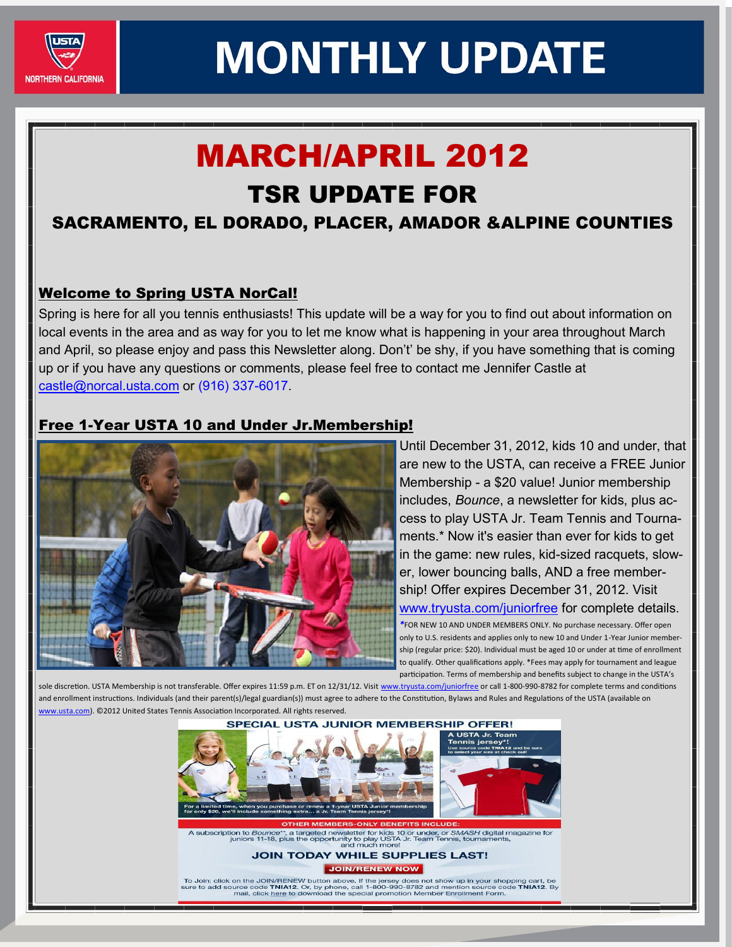

### MARCH/APRIL 2012

### TSR UPDATE FOR

#### SACRAMENTO, EL DORADO, PLACER, AMADOR &ALPINE COUNTIES

#### Welcome to Spring USTA NorCal!

Spring is here for all you tennis enthusiasts! This update will be a way for you to find out about information on local events in the area and as way for you to let me know what is happening in your area throughout March and April, so please enjoy and pass this Newsletter along. Don't' be shy, if you have something that is coming up or if you have any questions or comments, please feel free to contact me Jennifer Castle at castle@norcal.usta.com or (916) 337-6017.

#### Free 1-Year USTA 10 and Under Jr.Membership!



Until December 31, 2012, kids 10 and under, that are new to the USTA, can receive a FREE Junior Membership - a \$20 value! Junior membership includes, *Bounce*, a newsletter for kids, plus access to play USTA Jr. Team Tennis and Tournaments.\* Now it's easier than ever for kids to get in the game: new rules, kid-sized racquets, slower, lower bouncing balls, AND a free membership! Offer expires December 31, 2012. Visit [www.tryusta.com/juniorfree](http://www.tryusta.com/juniorfree) for complete details. *\**FOR NEW 10 AND UNDER MEMBERS ONLY. No purchase necessary. Offer open only to U.S. residents and applies only to new 10 and Under 1-Year Junior membership (regular price: \$20). Individual must be aged 10 or under at time of enrollment to qualify. Other qualifications apply. \*Fees may apply for tournament and league participation. Terms of membership and benefits subject to change in the USTA's

sole discretion. USTA Membership is not transferable. Offer expires 11:59 p.m. ET on 12/31/12. Visit [www.tryusta.com/juniorfree](http://www.tryusta.com/juniorfree) or call 1-800-990-8782 for complete terms and conditions and enrollment instructions. Individuals (and their parent(s)/legal guardian(s)) must agree to adhere to the Constitution, Bylaws and Rules and Regulations of the USTA (available on w.usta.com). ©2012 United States Tennis Association Incorporated. All rights reserved.



To Join: click on the JOIN/RENEW button above. If the jersey does not show up in your shopping cart, be<br>sure to add source code TNIA12. Or, by phone, call 1-800-980-8782 and mention source code TNIA12. By<br>mail, click here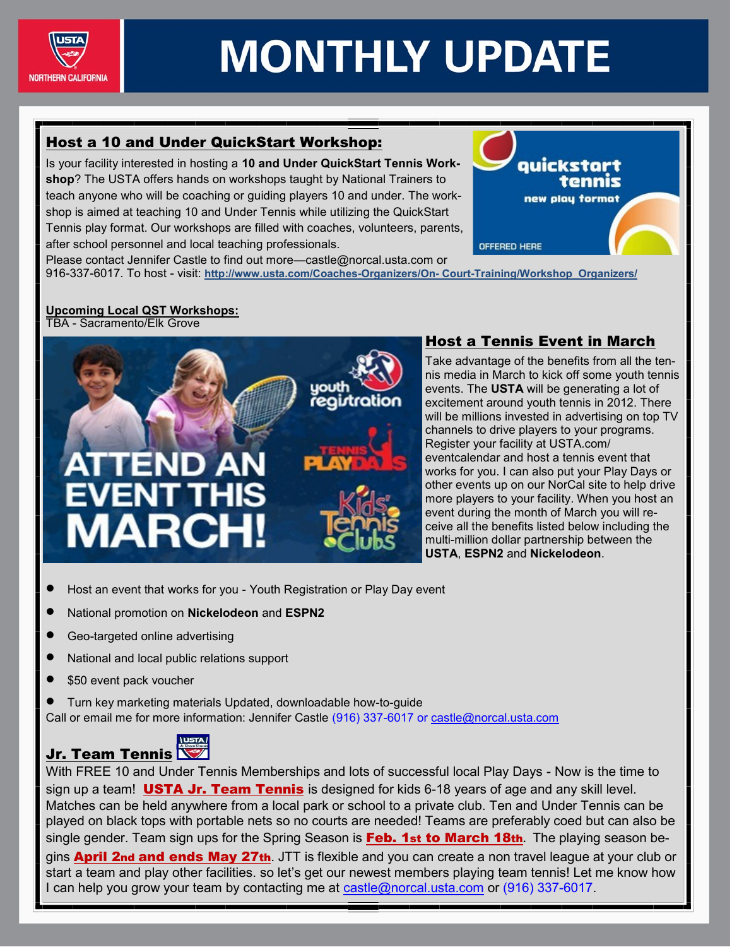

#### Host a 10 and Under QuickStart Workshop:

Is your facility interested in hosting a **10 and Under QuickStart Tennis Workshop**? The USTA offers hands on workshops taught by National Trainers to teach anyone who will be coaching or guiding players 10 and under. The workshop is aimed at teaching 10 and Under Tennis while utilizing the QuickStart Tennis play format. Our workshops are filled with coaches, volunteers, parents, after school personnel and local teaching professionals.



Please contact Jennifer Castle to find out more—castle@norcal.usta.com or 916-337-6017. To host - visit: **http://www.usta.com/Coaches-Organizers/On- Court-Training/Workshop\_Organizers/** 

#### **Upcoming Local QST Workshops:**

TBA - Sacramento/Elk Grove



#### Host a Tennis Event in March

Take advantage of the benefits from all the tennis media in March to kick off some youth tennis events. The **USTA** will be generating a lot of excitement around youth tennis in 2012. There will be millions invested in advertising on top TV channels to drive players to your programs. Register your facility at USTA.com/ eventcalendar and host a tennis event that works for you. I can also put your Play Days or other events up on our NorCal site to help drive more players to your facility. When you host an event during the month of March you will receive all the benefits listed below including the multi-million dollar partnership between the **USTA**, **ESPN2** and **Nickelodeon**.

- Host an event that works for you Youth Registration or Play Day event
- National promotion on **Nickelodeon** and **ESPN2**
- Geo-targeted online advertising
- National and local public relations support
- \$50 event pack voucher
- Turn key marketing materials Updated, downloadable how-to-guide Call or email me for more information: Jennifer Castle (916) 337-6017 or castle@norcal.usta.com

### Jr. Team Tennis

With FREE 10 and Under Tennis Memberships and lots of successful local Play Days - Now is the time to sign up a team! USTA Jr. Team Tennis is designed for kids 6-18 years of age and any skill level. Matches can be held anywhere from a local park or school to a private club. Ten and Under Tennis can be played on black tops with portable nets so no courts are needed! Teams are preferably coed but can also be single gender. Team sign ups for the Spring Season is Feb. 1st to March 18th**.** The playing season begins **April 2nd and ends May 27th**. JTT is flexible and you can create a non travel league at your club or start a team and play other facilities. so let's get our newest members playing team tennis! Let me know how I can help you grow your team by contacting me at castle@norcal.usta.com or (916) 337-6017.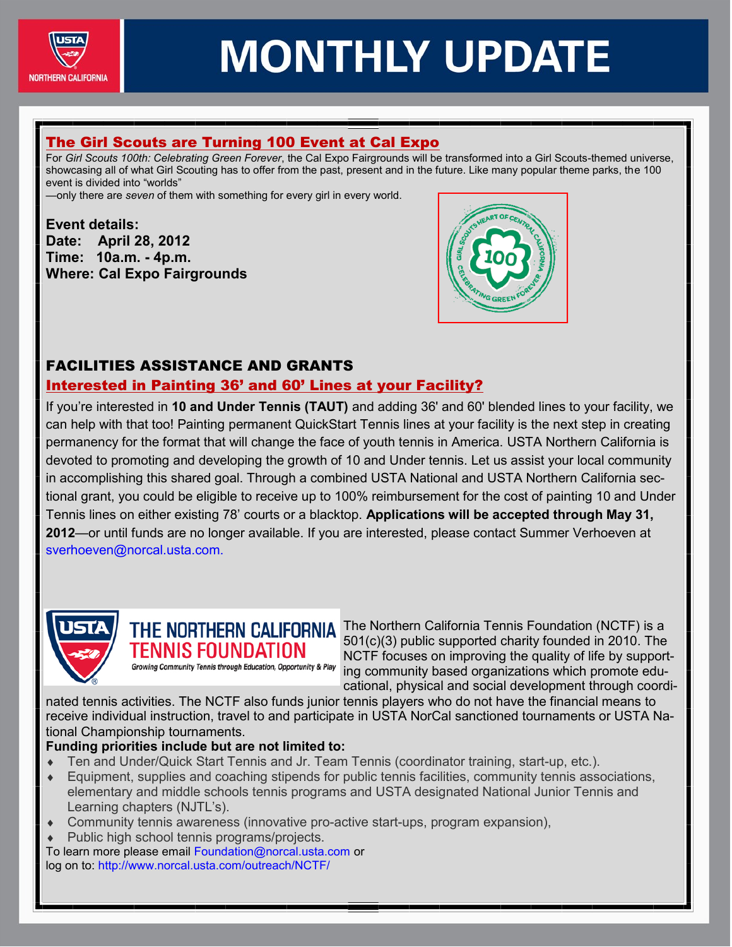

#### The Girl Scouts are Turning 100 Event at Cal Expo

For *Girl Scouts 100th: Celebrating Green Forever*, the Cal Expo Fairgrounds will be transformed into a Girl Scouts-themed universe, showcasing all of what Girl Scouting has to offer from the past, present and in the future. Like many popular theme parks, the 100 event is divided into "worlds"

—only there are *seven* of them with something for every girl in every world.

#### **Event details: Date: April 28, 2012 Time: 10a.m. - 4p.m. Where: Cal Expo Fairgrounds**



#### FACILITIES ASSISTANCE AND GRANTS

#### Interested in Painting 36' and 60' Lines at your Facility?

If you're interested in **10 and Under Tennis (TAUT)** and adding 36' and 60' blended lines to your facility, we can help with that too! Painting permanent QuickStart Tennis lines at your facility is the next step in creating permanency for the format that will change the face of youth tennis in America. USTA Northern California is devoted to promoting and developing the growth of 10 and Under tennis. Let us assist your local community in accomplishing this shared goal. Through a combined USTA National and USTA Northern California sectional grant, you could be eligible to receive up to 100% reimbursement for the cost of painting 10 and Under Tennis lines on either existing 78' courts or a blacktop. **Applications will be accepted through May 31, 2012**—or until funds are no longer available. If you are interested, please contact Summer Verhoeven at sverhoeven@norcal.usta.com.



TENNIS FOUNDATION Growing Community Tennis through Education, Opportunity & Play

THE NORTHERN CALIFORNIA The Northern California Tennis Foundation (NCTF) is a 501(c)(3) public supported charity founded in 2010. The NCTF focuses on improving the quality of life by supporting community based organizations which promote educational, physical and social development through coordi-

nated tennis activities. The NCTF also funds junior tennis players who do not have the financial means to receive individual instruction, travel to and participate in USTA NorCal sanctioned tournaments or USTA National Championship tournaments.

#### **Funding priorities include but are not limited to:**

- Ten and Under/Quick Start Tennis and Jr. Team Tennis (coordinator training, start-up, etc.).
- Equipment, supplies and coaching stipends for public tennis facilities, community tennis associations, elementary and middle schools tennis programs and USTA designated National Junior Tennis and Learning chapters (NJTL's).
- Community tennis awareness (innovative pro-active start-ups, program expansion),
- Public high school tennis programs/projects.

To learn more please email Foundation@norcal.usta.com or log on to: http://www.norcal.usta.com/outreach/NCTF/